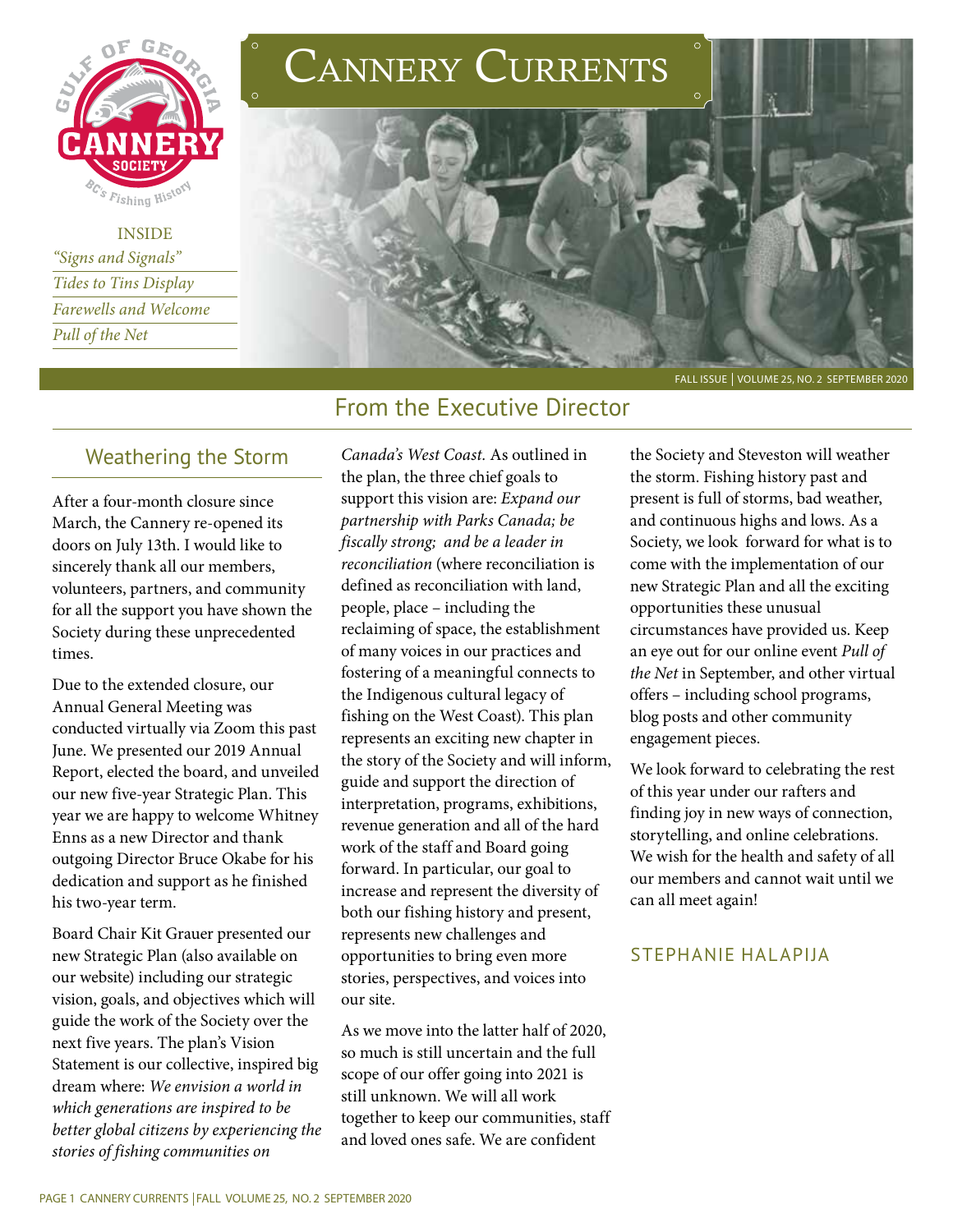

INSIDE *"Signs and Signals" Tides to Tins Display Farewells and Welcome Pull of the Net*

# CANNERY CURRENTS



## From the Executive Director

## Weathering the Storm

After a four-month closure since March, the Cannery re-opened its doors on July 13th. I would like to sincerely thank all our members, volunteers, partners, and community for all the support you have shown the Society during these unprecedented times.

Due to the extended closure, our Annual General Meeting was conducted virtually via Zoom this past June. We presented our 2019 Annual Report, elected the board, and unveiled our new five-year Strategic Plan. This year we are happy to welcome Whitney Enns as a new Director and thank outgoing Director Bruce Okabe for his dedication and support as he finished his two-year term.

Board Chair Kit Grauer presented our new Strategic Plan (also available on our website) including our strategic vision, goals, and objectives which will guide the work of the Society over the next five years. The plan's Vision Statement is our collective, inspired big dream where: *We envision a world in which generations are inspired to be better global citizens by experiencing the stories of fishing communities on* 

*Canada's West Coast.* As outlined in the plan, the three chief goals to support this vision are: *Expand our partnership with Parks Canada; be fiscally strong; and be a leader in reconciliation* (where reconciliation is defined as reconciliation with land, people, place – including the reclaiming of space, the establishment of many voices in our practices and fostering of a meaningful connects to the Indigenous cultural legacy of fishing on the West Coast). This plan represents an exciting new chapter in the story of the Society and will inform, guide and support the direction of interpretation, programs, exhibitions, revenue generation and all of the hard work of the staff and Board going forward. In particular, our goal to increase and represent the diversity of both our fishing history and present, represents new challenges and opportunities to bring even more stories, perspectives, and voices into our site.

As we move into the latter half of 2020, so much is still uncertain and the full scope of our offer going into 2021 is still unknown. We will all work together to keep our communities, staff and loved ones safe. We are confident

the Society and Steveston will weather the storm. Fishing history past and present is full of storms, bad weather, and continuous highs and lows. As a Society, we look forward for what is to come with the implementation of our new Strategic Plan and all the exciting opportunities these unusual circumstances have provided us. Keep an eye out for our online event *Pull of the Net* in September, and other virtual offers – including school programs, blog posts and other community engagement pieces.

We look forward to celebrating the rest of this year under our rafters and finding joy in new ways of connection, storytelling, and online celebrations. We wish for the health and safety of all our members and cannot wait until we can all meet again!

#### STEPHANIE HALAPIJA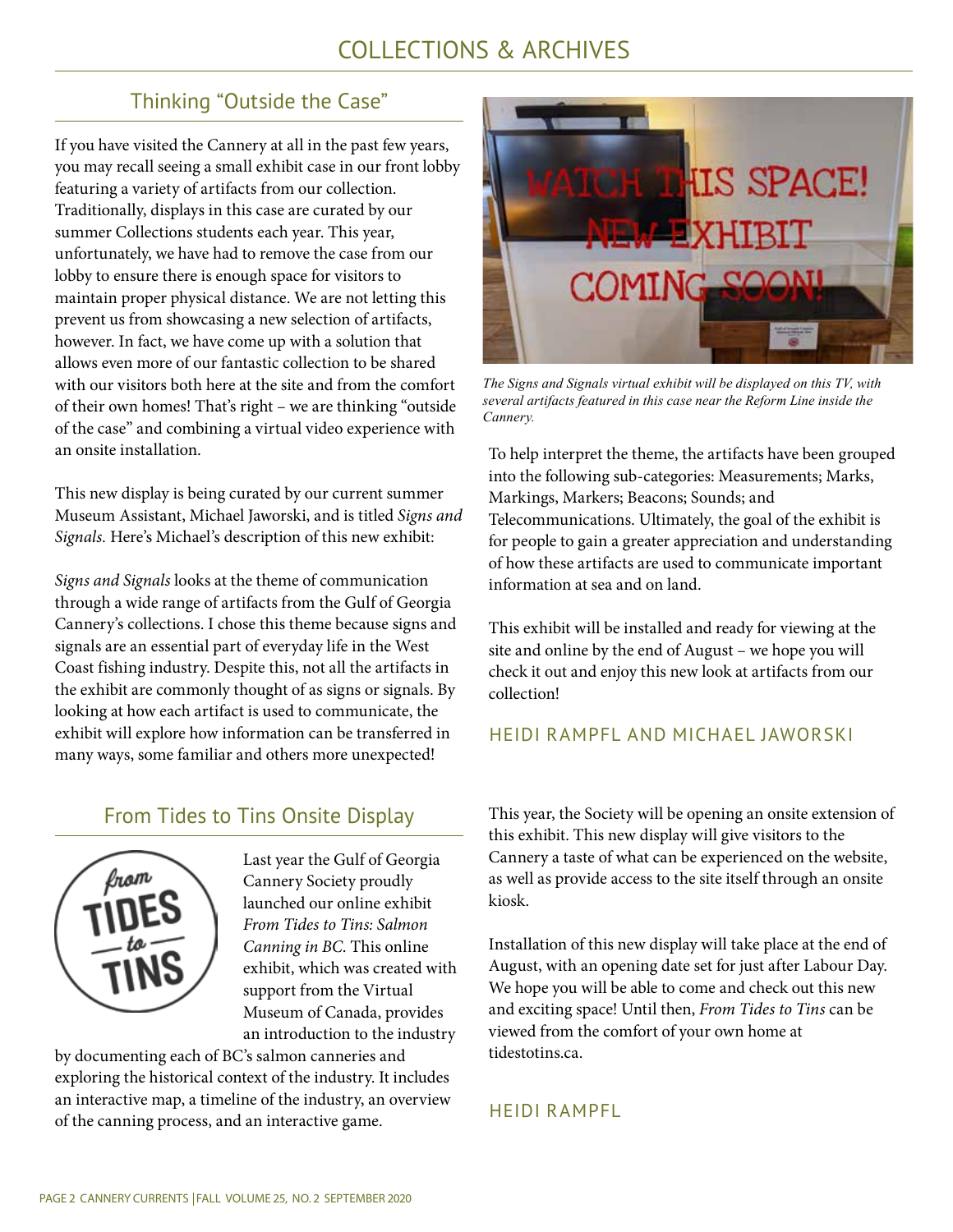## COLLECTIONS & ARCHIVES

## Thinking "Outside the Case"

If you have visited the Cannery at all in the past few years, you may recall seeing a small exhibit case in our front lobby featuring a variety of artifacts from our collection. Traditionally, displays in this case are curated by our summer Collections students each year. This year, unfortunately, we have had to remove the case from our lobby to ensure there is enough space for visitors to maintain proper physical distance. We are not letting this prevent us from showcasing a new selection of artifacts, however. In fact, we have come up with a solution that allows even more of our fantastic collection to be shared with our visitors both here at the site and from the comfort of their own homes! That's right – we are thinking "outside of the case" and combining a virtual video experience with an onsite installation.

This new display is being curated by our current summer Museum Assistant, Michael Jaworski, and is titled *Signs and Signals.* Here's Michael's description of this new exhibit:

*Signs and Signals* looks at the theme of communication through a wide range of artifacts from the Gulf of Georgia Cannery's collections. I chose this theme because signs and signals are an essential part of everyday life in the West Coast fishing industry. Despite this, not all the artifacts in the exhibit are commonly thought of as signs or signals. By looking at how each artifact is used to communicate, the exhibit will explore how information can be transferred in many ways, some familiar and others more unexpected!

## From Tides to Tins Onsite Display



Last year the Gulf of Georgia Cannery Society proudly launched our online exhibit *From Tides to Tins: Salmon Canning in BC*. This online exhibit, which was created with support from the Virtual Museum of Canada, provides an introduction to the industry

by documenting each of BC's salmon canneries and exploring the historical context of the industry. It includes an interactive map, a timeline of the industry, an overview of the canning process, and an interactive game.



*The Signs and Signals virtual exhibit will be displayed on this TV, with several artifacts featured in this case near the Reform Line inside the Cannery.*

To help interpret the theme, the artifacts have been grouped into the following sub-categories: Measurements; Marks, Markings, Markers; Beacons; Sounds; and Telecommunications. Ultimately, the goal of the exhibit is for people to gain a greater appreciation and understanding of how these artifacts are used to communicate important information at sea and on land.

This exhibit will be installed and ready for viewing at the site and online by the end of August – we hope you will check it out and enjoy this new look at artifacts from our collection!

#### HEIDI RAMPFL AND MICHAEL JAWORSKI

This year, the Society will be opening an onsite extension of this exhibit. This new display will give visitors to the Cannery a taste of what can be experienced on the website, as well as provide access to the site itself through an onsite kiosk.

Installation of this new display will take place at the end of August, with an opening date set for just after Labour Day. We hope you will be able to come and check out this new and exciting space! Until then, *From Tides to Tins* can be viewed from the comfort of your own home at tidestotins.ca.

#### HEIDI RAMPFL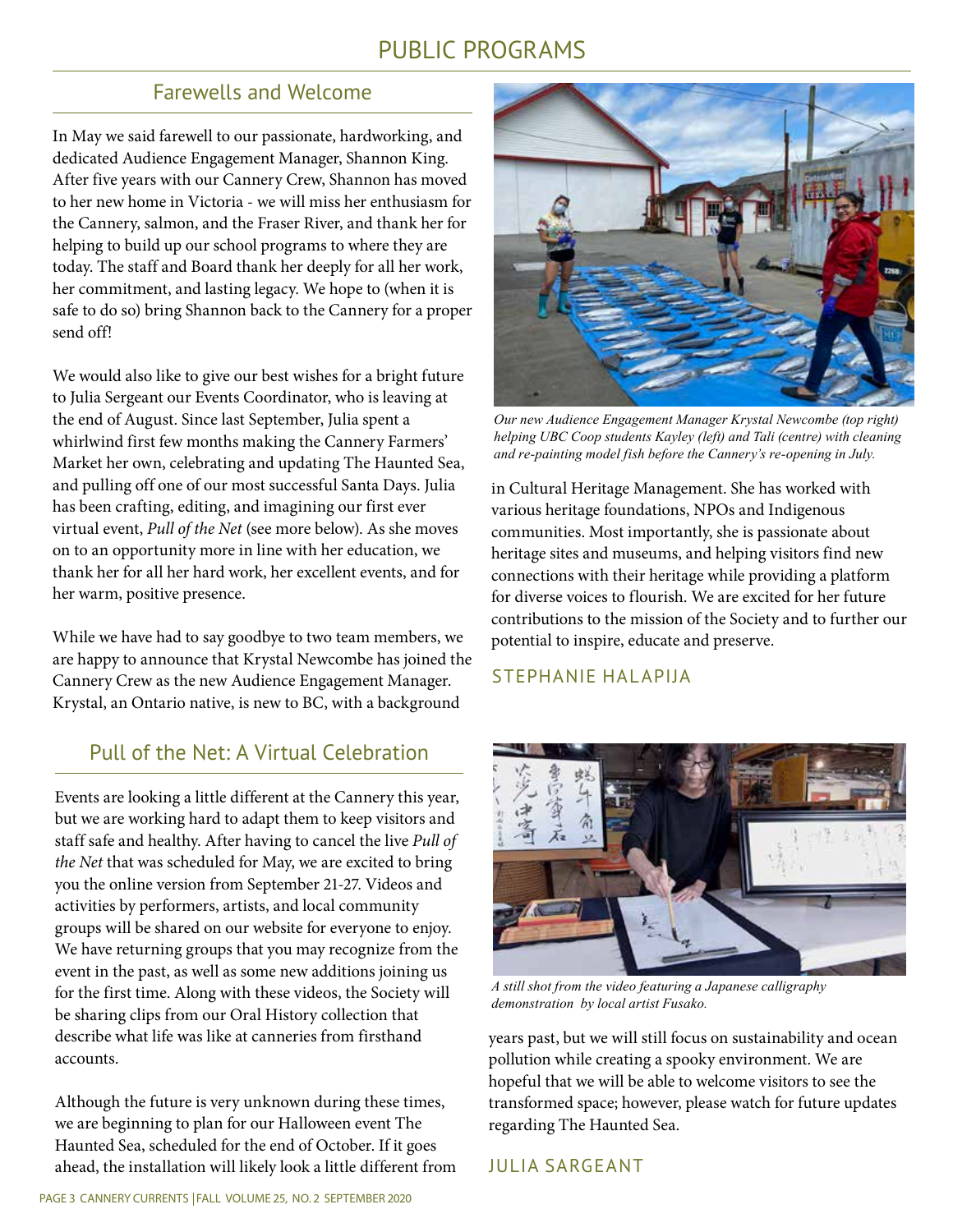## PUBLIC PROGRAMS

#### Farewells and Welcome

In May we said farewell to our passionate, hardworking, and dedicated Audience Engagement Manager, Shannon King. After five years with our Cannery Crew, Shannon has moved to her new home in Victoria - we will miss her enthusiasm for the Cannery, salmon, and the Fraser River, and thank her for helping to build up our school programs to where they are today. The staff and Board thank her deeply for all her work, her commitment, and lasting legacy. We hope to (when it is safe to do so) bring Shannon back to the Cannery for a proper send off!

We would also like to give our best wishes for a bright future to Julia Sergeant our Events Coordinator, who is leaving at the end of August. Since last September, Julia spent a whirlwind first few months making the Cannery Farmers' Market her own, celebrating and updating The Haunted Sea, and pulling off one of our most successful Santa Days. Julia has been crafting, editing, and imagining our first ever virtual event, *Pull of the Net* (see more below). As she moves on to an opportunity more in line with her education, we thank her for all her hard work, her excellent events, and for her warm, positive presence.

While we have had to say goodbye to two team members, we are happy to announce that Krystal Newcombe has joined the Cannery Crew as the new Audience Engagement Manager. Krystal, an Ontario native, is new to BC, with a background

### Pull of the Net: A Virtual Celebration

Events are looking a little different at the Cannery this year, but we are working hard to adapt them to keep visitors and staff safe and healthy. After having to cancel the live *Pull of the Net* that was scheduled for May, we are excited to bring you the online version from September 21-27. Videos and activities by performers, artists, and local community groups will be shared on our website for everyone to enjoy. We have returning groups that you may recognize from the event in the past, as well as some new additions joining us for the first time. Along with these videos, the Society will be sharing clips from our Oral History collection that describe what life was like at canneries from firsthand accounts.

Although the future is very unknown during these times, we are beginning to plan for our Halloween event The Haunted Sea, scheduled for the end of October. If it goes ahead, the installation will likely look a little different from



*Our new Audience Engagement Manager Krystal Newcombe (top right) helping UBC Coop students Kayley (left) and Tali (centre) with cleaning and re-painting model fish before the Cannery's re-opening in July.* 

in Cultural Heritage Management. She has worked with various heritage foundations, NPOs and Indigenous communities. Most importantly, she is passionate about heritage sites and museums, and helping visitors find new connections with their heritage while providing a platform for diverse voices to flourish. We are excited for her future contributions to the mission of the Society and to further our potential to inspire, educate and preserve.

#### STEPHANIE HALAPIJA



*A still shot from the video featuring a Japanese calligraphy demonstration by local artist Fusako.* 

years past, but we will still focus on sustainability and ocean pollution while creating a spooky environment. We are hopeful that we will be able to welcome visitors to see the transformed space; however, please watch for future updates regarding The Haunted Sea.

#### JULIA SARGEANT